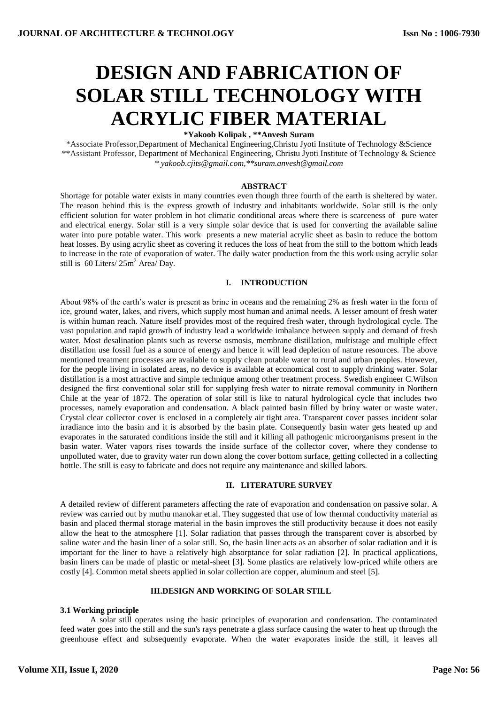# **DESIGN AND FABRICATION OF SOLAR STILL TECHNOLOGY WITH ACRYLIC FIBER MATERIAL**

# **\*Yakoob Kolipak , \*\*Anvesh Suram**

\*Associate Professor,Department of Mechanical Engineering,Christu Jyoti Institute of Technology &Science \*\*Assistant Professor, Department of Mechanical Engineering, Christu Jyoti Institute of Technology & Science *\* yakoob.cjits@gmail.com,\*\*suram.anvesh@gmail.com*

#### **ABSTRACT**

Shortage for potable water exists in many countries even though three fourth of the earth is sheltered by water. The reason behind this is the express growth of industry and inhabitants worldwide. Solar still is the only efficient solution for water problem in hot climatic conditional areas where there is scarceness of pure water and electrical energy. Solar still is a very simple solar device that is used for converting the available saline water into pure potable water. This work presents a new material acrylic sheet as basin to reduce the bottom heat losses. By using acrylic sheet as covering it reduces the loss of heat from the still to the bottom which leads to increase in the rate of evaporation of water. The daily water production from the this work using acrylic solar still is 60 Liters/  $25m^2$  Area/ Day.

# **I. INTRODUCTION**

About 98% of the earth's water is present as brine in oceans and the remaining 2% as fresh water in the form of ice, ground water, lakes, and rivers, which supply most human and animal needs. A lesser amount of fresh water is within human reach. Nature itself provides most of the required fresh water, through hydrological cycle. The vast population and rapid growth of industry lead a worldwide imbalance between supply and demand of fresh water. Most desalination plants such as reverse osmosis, membrane distillation, multistage and multiple effect distillation use fossil fuel as a source of energy and hence it will lead depletion of nature resources. The above mentioned treatment processes are available to supply clean potable water to rural and urban peoples. However, for the people living in isolated areas, no device is available at economical cost to supply drinking water. Solar distillation is a most attractive and simple technique among other treatment process. Swedish engineer C.Wilson designed the first conventional solar still for supplying fresh water to nitrate removal community in Northern Chile at the year of 1872. The operation of solar still is like to natural hydrological cycle that includes two processes, namely evaporation and condensation. A black painted basin filled by briny water or waste water. Crystal clear collector cover is enclosed in a completely air tight area. Transparent cover passes incident solar irradiance into the basin and it is absorbed by the basin plate. Consequently basin water gets heated up and evaporates in the saturated conditions inside the still and it killing all pathogenic microorganisms present in the basin water. Water vapors rises towards the inside surface of the collector cover, where they condense to unpolluted water, due to gravity water run down along the cover bottom surface, getting collected in a collecting bottle. The still is easy to fabricate and does not require any maintenance and skilled labors.

# **II. LITERATURE SURVEY**

A detailed review of different parameters affecting the rate of evaporation and condensation on passive solar. A review was carried out by muthu manokar et.al. They suggested that use of low thermal conductivity material as basin and placed thermal storage material in the basin improves the still productivity because it does not easily allow the heat to the atmosphere [1]. Solar radiation that passes through the transparent cover is absorbed by saline water and the basin liner of a solar still. So, the basin liner acts as an absorber of solar radiation and it is important for the liner to have a relatively high absorptance for solar radiation [2]. In practical applications, basin liners can be made of plastic or metal-sheet [3]. Some plastics are relatively low-priced while others are costly [4]. Common metal sheets applied in solar collection are copper, aluminum and steel [5].

# **III.DESIGN AND WORKING OF SOLAR STILL**

#### **3.1 Working principle**

A solar still operates using the basic principles of evaporation and condensation. The contaminated feed water goes into the still and the sun's rays penetrate a glass surface causing the water to heat up through the greenhouse effect and subsequently evaporate. When the water evaporates inside the still, it leaves all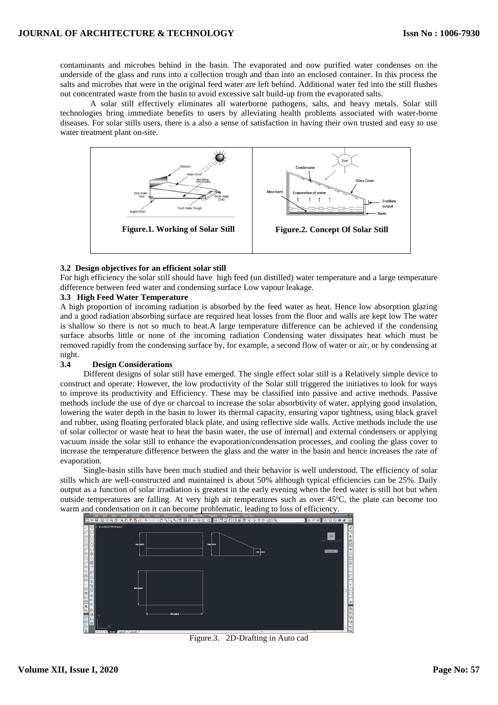contaminants and microbes behind in the basin. The evaporated and now purified water condenses on the underside of the glass and runs into a collection trough and than into an enclosed container. In this process the salts and microbes that were in the original feed water are left behind. Additional water fed into the still flushes out concentrated waste from the basin to avoid excessive salt build-up from the evaporated salts.

A solar still effectively eliminates all waterborne pathogens, salts, and heavy metals. Solar still technologies bring immediate benefits to users by alleviating health problems associated with water-borne diseases. For solar stills users, there is a also a sense of satisfaction in having their own trusted and easy to use water treatment plant on-site.



## **3.2 Design objectives for an efficient solar still**

For high efficiency the solar still should have high feed (un distilled) water temperature and a large temperature difference between feed water and condensing surface Low vapour leakage.

# **3.3 High Feed Water Temperature**

A high proportion of incoming radiation is absorbed by the feed water as heat. Hence low absorption glazing and a good radiation absorbing surface are required heat losses from the floor and walls are kept low The water is shallow so there is not so much to heat.A large temperature difference can be achieved if the condensing surface absorbs little or none of the incoming radiation Condensing water dissipates heat which must be removed rapidly from the condensing surface by, for example, a second flow of water or air, or by condensing at night.

## **3.4 Design Considerations**

Different designs of solar still have emerged. The single effect solar still is a Relatively simple device to construct and operate. However, the low productivity of the Solar still triggered the initiatives to look for ways to improve its productivity and Efficiency. These may be classified into passive and active methods. Passive methods include the use of dye or charcoal to increase the solar absorbtivity of water, applying good insulation, lowering the water depth in the basin to lower its thermal capacity, ensuring vapor tightness, using black gravel and rubber, using floating perforated black plate, and using reflective side walls. Active methods include the use of solar collector or waste heat to heat the basin water, the use of internal] and external condensers or applying vacuum inside the solar still to enhance the evaporation/condensation processes, and cooling the glass cover to increase the temperature difference between the glass and the water in the basin and hence increases the rate of evaporation.

Single-basin stills have been much studied and their behavior is well understood. The efficiency of solar stills which are well-constructed and maintained is about 50% although typical efficiencies can be 25%. Daily output as a function of solar irradiation is greatest in the early evening when the feed water is still hot but when outside temperatures are falling. At very high air temperatures such as over 45ºC, the plate can become too warm and condensation on it can become problematic, leading to loss of efficiency.



Figure.3. 2D-Drafting in Auto cad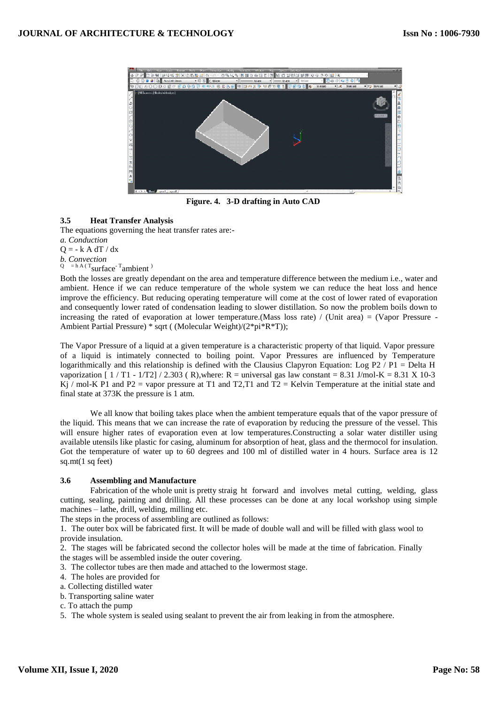

 **Figure. 4. 3-D drafting in Auto CAD**

## **3.5 Heat Transfer Analysis**

The equations governing the heat transfer rates are: *a. Conduction*  $Q = -k A dT / dx$ *b. Convection*  $Q = h A(T_{\text{surface}}^T \text{ambient})$ 

Both the losses are greatly dependant on the area and temperature difference between the medium i.e., water and ambient. Hence if we can reduce temperature of the whole system we can reduce the heat loss and hence improve the efficiency. But reducing operating temperature will come at the cost of lower rated of evaporation and consequently lower rated of condensation leading to slower distillation. So now the problem boils down to increasing the rated of evaporation at lower temperature.(Mass loss rate) / (Unit area) = (Vapor Pressure - Ambient Partial Pressure) \* sqrt ( (Molecular Weight)/(2\*pi\*R\*T));

The Vapor Pressure of a liquid at a given temperature is a characteristic property of that liquid. Vapor pressure of a liquid is intimately connected to boiling point. Vapor Pressures are influenced by Temperature logarithmically and this relationship is defined with the Clausius Clapyron Equation: Log P2 / P1 = Delta H vaporization  $\left[ 1 / T1 - 1/T2 \right] / 2.303$  (R), where: R = universal gas law constant = 8.31 J/mol-K = 8.31 X 10-3 Kj / mol-K P1 and P2 = vapor pressure at T1 and T2, T1 and T2 = Kelvin Temperature at the initial state and final state at 373K the pressure is 1 atm.

We all know that boiling takes place when the ambient temperature equals that of the vapor pressure of the liquid. This means that we can increase the rate of evaporation by reducing the pressure of the vessel. This will ensure higher rates of evaporation even at low temperatures. Constructing a solar water distiller using available utensils like plastic for casing, aluminum for absorption of heat, glass and the thermocol for insulation. Got the temperature of water up to 60 degrees and 100 ml of distilled water in 4 hours. Surface area is 12 sq.mt(1 sq feet)

## **3.6 Assembling and Manufacture**

Fabrication of the whole unit is pretty straig ht forward and involves metal cutting, welding, glass cutting, sealing, painting and drilling. All these processes can be done at any local workshop using simple machines – lathe, drill, welding, milling etc.

The steps in the process of assembling are outlined as follows:

1. The outer box will be fabricated first. It will be made of double wall and will be filled with glass wool to provide insulation.

2. The stages will be fabricated second the collector holes will be made at the time of fabrication. Finally the stages will be assembled inside the outer covering.

3. The collector tubes are then made and attached to the lowermost stage.

- 4. The holes are provided for
- a. Collecting distilled water
- b. Transporting saline water
- c. To attach the pump

5. The whole system is sealed using sealant to prevent the air from leaking in from the atmosphere.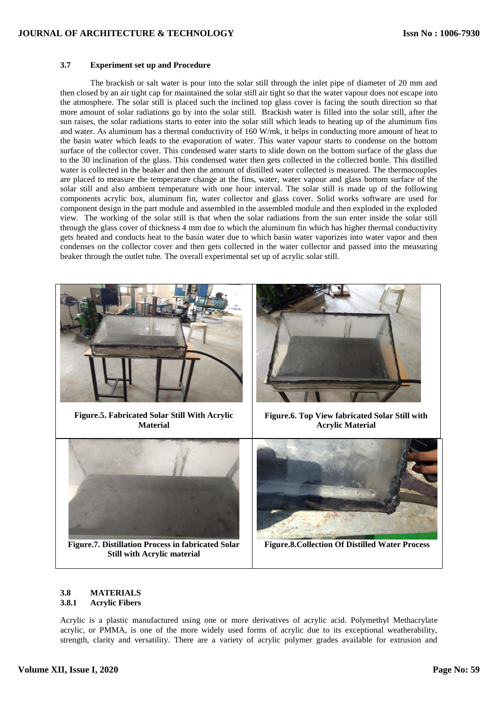#### **3.7 Experiment set up and Procedure**

The brackish or salt water is pour into the solar still through the inlet pipe of diameter of 20 mm and then closed by an air tight cap for maintained the solar still air tight so that the water vapour does not escape into the atmosphere. The solar still is placed such the inclined top glass cover is facing the south direction so that more amount of solar radiations go by into the solar still. Brackish water is filled into the solar still, after the sun raises, the solar radiations starts to enter into the solar still which leads to heating up of the aluminum fins and water. As aluminum has a thermal conductivity of 160 W/mk, it helps in conducting more amount of heat to the basin water which leads to the evaporation of water. This water vapour starts to condense on the bottom surface of the collector cover. This condensed water starts to slide down on the bottom surface of the glass due to the 30 inclination of the glass. This condensed water then gets collected in the collected bottle. This distilled water is collected in the beaker and then the amount of distilled water collected is measured. The thermocouples are placed to measure the temperature change at the fins, water, water vapour and glass bottom surface of the solar still and also ambient temperature with one hour interval. The solar still is made up of the following components acrylic box, aluminum fin, water collector and glass cover. Solid works software are used for component design in the part module and assembled in the assembled module and then exploded in the exploded view. The working of the solar still is that when the solar radiations from the sun enter inside the solar still through the glass cover of thickness 4 mm due to which the aluminum fin which has higher thermal conductivity gets heated and conducts heat to the basin water due to which basin water vaporizes into water vapor and then condenses on the collector cover and then gets collected in the water collector and passed into the measuring beaker through the outlet tube. The overall experimental set up of acrylic solar still.



#### **3.8 MATERIALS**

#### **3.8.1 Acrylic Fibers**

Acrylic is a plastic manufactured using one or more derivatives of acrylic acid. Polymethyl Methacrylate acrylic, or PMMA, is one of the more widely used forms of acrylic due to its exceptional weatherability, strength, clarity and versatility. There are a variety of acrylic polymer grades available for extrusion and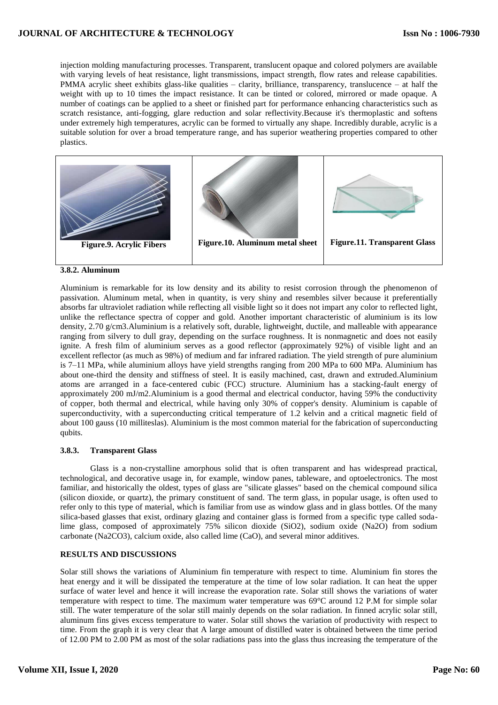injection molding manufacturing processes. Transparent, translucent opaque and colored polymers are available with varying levels of heat resistance, light transmissions, impact strength, flow rates and release capabilities. PMMA acrylic sheet exhibits glass-like qualities – clarity, brilliance, transparency, translucence – at half the weight with up to 10 times the impact resistance. It can be tinted or colored, mirrored or made opaque. A number of coatings can be applied to a sheet or finished part for performance enhancing characteristics such as scratch resistance, anti-fogging, glare reduction and solar reflectivity.Because it's thermoplastic and softens under extremely high temperatures, acrylic can be formed to virtually any shape. Incredibly durable, acrylic is a suitable solution for over a broad temperature range, and has superior weathering properties compared to other plastics.



# **3.8.2. Aluminum**

Aluminium is remarkable for its low density and its ability to resist corrosion through the phenomenon of passivation. Aluminum metal, when in quantity, is very shiny and resembles silver because it preferentially absorbs far ultraviolet radiation while reflecting all visible light so it does not impart any color to reflected light, unlike the reflectance spectra of copper and gold. Another important characteristic of aluminium is its low density, 2.70 g/cm3.Aluminium is a relatively soft, durable, lightweight, ductile, and malleable with appearance ranging from silvery to dull gray, depending on the surface roughness. It is nonmagnetic and does not easily ignite. A fresh film of aluminium serves as a good reflector (approximately 92%) of visible light and an excellent reflector (as much as 98%) of medium and far infrared radiation. The yield strength of pure aluminium is 7–11 MPa, while aluminium alloys have yield strengths ranging from 200 MPa to 600 MPa. Aluminium has about one-third the density and stiffness of steel. It is easily machined, cast, drawn and extruded.Aluminium atoms are arranged in a face-centered cubic (FCC) structure. Aluminium has a stacking-fault energy of approximately 200 mJ/m2.Aluminium is a good thermal and electrical conductor, having 59% the conductivity of copper, both thermal and electrical, while having only 30% of copper's density. Aluminium is capable of superconductivity, with a superconducting critical temperature of 1.2 kelvin and a critical magnetic field of about 100 gauss (10 milliteslas). Aluminium is the most common material for the fabrication of superconducting qubits.

## **3.8.3. Transparent Glass**

Glass is a non-crystalline amorphous solid that is often transparent and has widespread practical, technological, and decorative usage in, for example, window panes, tableware, and optoelectronics. The most familiar, and historically the oldest, types of glass are "silicate glasses" based on the chemical compound silica (silicon dioxide, or quartz), the primary constituent of sand. The term glass, in popular usage, is often used to refer only to this type of material, which is familiar from use as window glass and in glass bottles. Of the many silica-based glasses that exist, ordinary glazing and container glass is formed from a specific type called sodalime glass, composed of approximately 75% silicon dioxide (SiO2), sodium oxide (Na2O) from sodium carbonate (Na2CO3), calcium oxide, also called lime (CaO), and several minor additives.

## **RESULTS AND DISCUSSIONS**

Solar still shows the variations of Aluminium fin temperature with respect to time. Aluminium fin stores the heat energy and it will be dissipated the temperature at the time of low solar radiation. It can heat the upper surface of water level and hence it will increase the evaporation rate. Solar still shows the variations of water temperature with respect to time. The maximum water temperature was 69°C around 12 P.M for simple solar still. The water temperature of the solar still mainly depends on the solar radiation. In finned acrylic solar still, aluminum fins gives excess temperature to water. Solar still shows the variation of productivity with respect to time. From the graph it is very clear that A large amount of distilled water is obtained between the time period of 12.00 PM to 2.00 PM as most of the solar radiations pass into the glass thus increasing the temperature of the